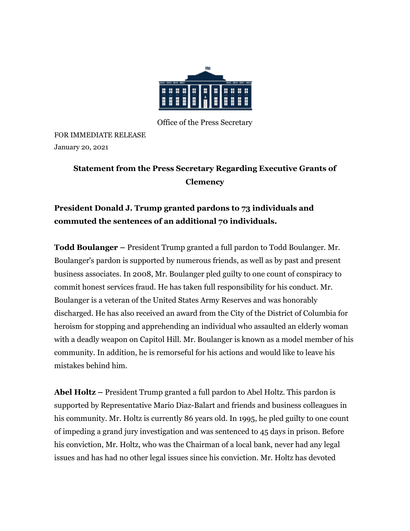

Office of the Press Secretary

FOR IMMEDIATE RELEASE January 20, 2021

## **Statement from the Press Secretary Regarding Executive Grants of Clemency**

## **President Donald J. Trump granted pardons to 73 individuals and commuted the sentences of an additional 70 individuals.**

**Todd Boulanger –** President Trump granted a full pardon to Todd Boulanger. Mr. Boulanger's pardon is supported by numerous friends, as well as by past and present business associates. In 2008, Mr. Boulanger pled guilty to one count of conspiracy to commit honest services fraud. He has taken full responsibility for his conduct. Mr. Boulanger is a veteran of the United States Army Reserves and was honorably discharged. He has also received an award from the City of the District of Columbia for heroism for stopping and apprehending an individual who assaulted an elderly woman with a deadly weapon on Capitol Hill. Mr. Boulanger is known as a model member of his community. In addition, he is remorseful for his actions and would like to leave his mistakes behind him.

**Abel Holtz –** President Trump granted a full pardon to Abel Holtz. This pardon is supported by Representative Mario Diaz-Balart and friends and business colleagues in his community. Mr. Holtz is currently 86 years old. In 1995, he pled guilty to one count of impeding a grand jury investigation and was sentenced to 45 days in prison. Before his conviction, Mr. Holtz, who was the Chairman of a local bank, never had any legal issues and has had no other legal issues since his conviction. Mr. Holtz has devoted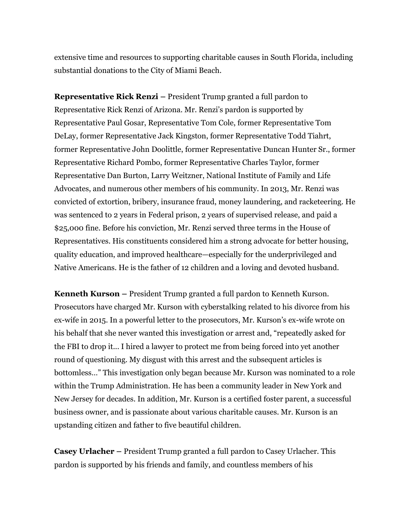extensive time and resources to supporting charitable causes in South Florida, including substantial donations to the City of Miami Beach.

**Representative Rick Renzi –** President Trump granted a full pardon to Representative Rick Renzi of Arizona. Mr. Renzi's pardon is supported by Representative Paul Gosar, Representative Tom Cole, former Representative Tom DeLay, former Representative Jack Kingston, former Representative Todd Tiahrt, former Representative John Doolittle, former Representative Duncan Hunter Sr., former Representative Richard Pombo, former Representative Charles Taylor, former Representative Dan Burton, Larry Weitzner, National Institute of Family and Life Advocates, and numerous other members of his community. In 2013, Mr. Renzi was convicted of extortion, bribery, insurance fraud, money laundering, and racketeering. He was sentenced to 2 years in Federal prison, 2 years of supervised release, and paid a \$25,000 fine. Before his conviction, Mr. Renzi served three terms in the House of Representatives. His constituents considered him a strong advocate for better housing, quality education, and improved healthcare—especially for the underprivileged and Native Americans. He is the father of 12 children and a loving and devoted husband.

**Kenneth Kurson** – President Trump granted a full pardon to Kenneth Kurson. Prosecutors have charged Mr. Kurson with cyberstalking related to his divorce from his ex-wife in 2015. In a powerful letter to the prosecutors, Mr. Kurson's ex-wife wrote on his behalf that she never wanted this investigation or arrest and, "repeatedly asked for the FBI to drop it... I hired a lawyer to protect me from being forced into yet another round of questioning. My disgust with this arrest and the subsequent articles is bottomless…" This investigation only began because Mr. Kurson was nominated to a role within the Trump Administration. He has been a community leader in New York and New Jersey for decades. In addition, Mr. Kurson is a certified foster parent, a successful business owner, and is passionate about various charitable causes. Mr. Kurson is an upstanding citizen and father to five beautiful children.

**Casey Urlacher –** President Trump granted a full pardon to Casey Urlacher. This pardon is supported by his friends and family, and countless members of his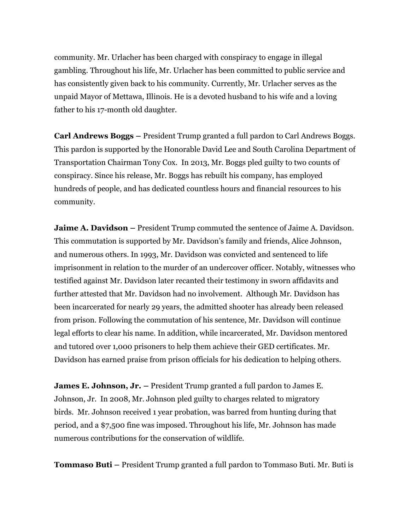community. Mr. Urlacher has been charged with conspiracy to engage in illegal gambling. Throughout his life, Mr. Urlacher has been committed to public service and has consistently given back to his community. Currently, Mr. Urlacher serves as the unpaid Mayor of Mettawa, Illinois. He is a devoted husband to his wife and a loving father to his 17-month old daughter.

**Carl Andrews Boggs –** President Trump granted a full pardon to Carl Andrews Boggs. This pardon is supported by the Honorable David Lee and South Carolina Department of Transportation Chairman Tony Cox. In 2013, Mr. Boggs pled guilty to two counts of conspiracy. Since his release, Mr. Boggs has rebuilt his company, has employed hundreds of people, and has dedicated countless hours and financial resources to his community.

**Jaime A. Davidson –** President Trump commuted the sentence of Jaime A. Davidson. This commutation is supported by Mr. Davidson's family and friends, Alice Johnson, and numerous others. In 1993, Mr. Davidson was convicted and sentenced to life imprisonment in relation to the murder of an undercover officer. Notably, witnesses who testified against Mr. Davidson later recanted their testimony in sworn affidavits and further attested that Mr. Davidson had no involvement. Although Mr. Davidson has been incarcerated for nearly 29 years, the admitted shooter has already been released from prison. Following the commutation of his sentence, Mr. Davidson will continue legal efforts to clear his name. In addition, while incarcerated, Mr. Davidson mentored and tutored over 1,000 prisoners to help them achieve their GED certificates. Mr. Davidson has earned praise from prison officials for his dedication to helping others.

**James E. Johnson, Jr. –** President Trump granted a full pardon to James E. Johnson, Jr. In 2008, Mr. Johnson pled guilty to charges related to migratory birds. Mr. Johnson received 1 year probation, was barred from hunting during that period, and a \$7,500 fine was imposed. Throughout his life, Mr. Johnson has made numerous contributions for the conservation of wildlife.

**Tommaso Buti –** President Trump granted a full pardon to Tommaso Buti. Mr. Buti is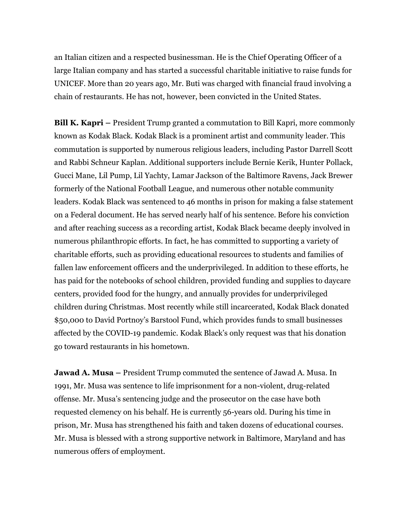an Italian citizen and a respected businessman. He is the Chief Operating Officer of a large Italian company and has started a successful charitable initiative to raise funds for UNICEF. More than 20 years ago, Mr. Buti was charged with financial fraud involving a chain of restaurants. He has not, however, been convicted in the United States.

**Bill K. Kapri –** President Trump granted a commutation to Bill Kapri, more commonly known as Kodak Black. Kodak Black is a prominent artist and community leader. This commutation is supported by numerous religious leaders, including Pastor Darrell Scott and Rabbi Schneur Kaplan. Additional supporters include Bernie Kerik, Hunter Pollack, Gucci Mane, Lil Pump, Lil Yachty, Lamar Jackson of the Baltimore Ravens, Jack Brewer formerly of the National Football League, and numerous other notable community leaders. Kodak Black was sentenced to 46 months in prison for making a false statement on a Federal document. He has served nearly half of his sentence. Before his conviction and after reaching success as a recording artist, Kodak Black became deeply involved in numerous philanthropic efforts. In fact, he has committed to supporting a variety of charitable efforts, such as providing educational resources to students and families of fallen law enforcement officers and the underprivileged. In addition to these efforts, he has paid for the notebooks of school children, provided funding and supplies to daycare centers, provided food for the hungry, and annually provides for underprivileged children during Christmas. Most recently while still incarcerated, Kodak Black donated \$50,000 to David Portnoy's Barstool Fund, which provides funds to small businesses affected by the COVID-19 pandemic. Kodak Black's only request was that his donation go toward restaurants in his hometown.

**Jawad A. Musa –** President Trump commuted the sentence of Jawad A. Musa. In 1991, Mr. Musa was sentence to life imprisonment for a non-violent, drug-related offense. Mr. Musa's sentencing judge and the prosecutor on the case have both requested clemency on his behalf. He is currently 56-years old. During his time in prison, Mr. Musa has strengthened his faith and taken dozens of educational courses. Mr. Musa is blessed with a strong supportive network in Baltimore, Maryland and has numerous offers of employment.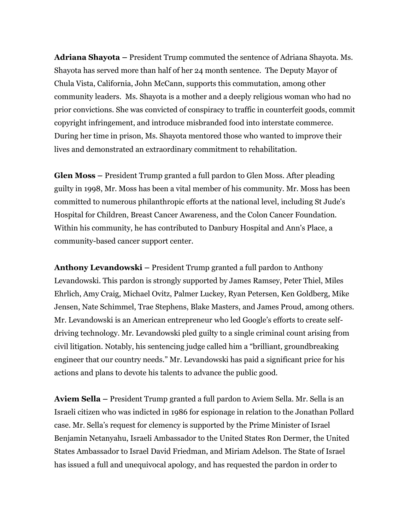**Adriana Shayota –** President Trump commuted the sentence of Adriana Shayota. Ms. Shayota has served more than half of her 24 month sentence. The Deputy Mayor of Chula Vista, California, John McCann, supports this commutation, among other community leaders. Ms. Shayota is a mother and a deeply religious woman who had no prior convictions. She was convicted of conspiracy to traffic in counterfeit goods, commit copyright infringement, and introduce misbranded food into interstate commerce. During her time in prison, Ms. Shayota mentored those who wanted to improve their lives and demonstrated an extraordinary commitment to rehabilitation.

**Glen Moss –** President Trump granted a full pardon to Glen Moss. After pleading guilty in 1998, Mr. Moss has been a vital member of his community. Mr. Moss has been committed to numerous philanthropic efforts at the national level, including St Jude's Hospital for Children, Breast Cancer Awareness, and the Colon Cancer Foundation. Within his community, he has contributed to Danbury Hospital and Ann's Place, a community-based cancer support center.

**Anthony Levandowski –** President Trump granted a full pardon to Anthony Levandowski. This pardon is strongly supported by James Ramsey, Peter Thiel, Miles Ehrlich, Amy Craig, Michael Ovitz, Palmer Luckey, Ryan Petersen, Ken Goldberg, Mike Jensen, Nate Schimmel, Trae Stephens, Blake Masters, and James Proud, among others. Mr. Levandowski is an American entrepreneur who led Google's efforts to create selfdriving technology. Mr. Levandowski pled guilty to a single criminal count arising from civil litigation. Notably, his sentencing judge called him a "brilliant, groundbreaking engineer that our country needs." Mr. Levandowski has paid a significant price for his actions and plans to devote his talents to advance the public good.

**Aviem Sella –** President Trump granted a full pardon to Aviem Sella. Mr. Sella is an Israeli citizen who was indicted in 1986 for espionage in relation to the Jonathan Pollard case. Mr. Sella's request for clemency is supported by the Prime Minister of Israel Benjamin Netanyahu, Israeli Ambassador to the United States Ron Dermer, the United States Ambassador to Israel David Friedman, and Miriam Adelson. The State of Israel has issued a full and unequivocal apology, and has requested the pardon in order to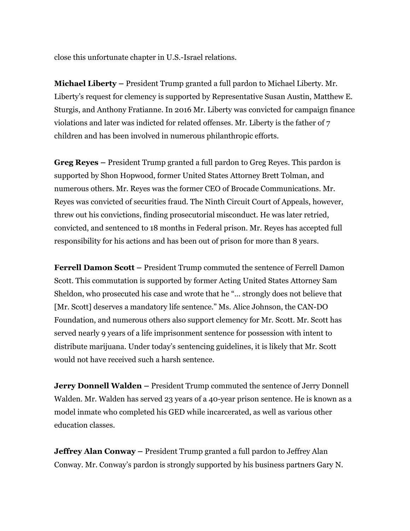close this unfortunate chapter in U.S.-Israel relations.

**Michael Liberty –** President Trump granted a full pardon to Michael Liberty. Mr. Liberty's request for clemency is supported by Representative Susan Austin, Matthew E. Sturgis, and Anthony Fratianne. In 2016 Mr. Liberty was convicted for campaign finance violations and later was indicted for related offenses. Mr. Liberty is the father of 7 children and has been involved in numerous philanthropic efforts.

**Greg Reyes –** President Trump granted a full pardon to Greg Reyes. This pardon is supported by Shon Hopwood, former United States Attorney Brett Tolman, and numerous others. Mr. Reyes was the former CEO of Brocade Communications. Mr. Reyes was convicted of securities fraud. The Ninth Circuit Court of Appeals, however, threw out his convictions, finding prosecutorial misconduct. He was later retried, convicted, and sentenced to 18 months in Federal prison. Mr. Reyes has accepted full responsibility for his actions and has been out of prison for more than 8 years.

**Ferrell Damon Scott –** President Trump commuted the sentence of Ferrell Damon Scott. This commutation is supported by former Acting United States Attorney Sam Sheldon, who prosecuted his case and wrote that he "… strongly does not believe that [Mr. Scott] deserves a mandatory life sentence." Ms. Alice Johnson, the CAN-DO Foundation, and numerous others also support clemency for Mr. Scott. Mr. Scott has served nearly 9 years of a life imprisonment sentence for possession with intent to distribute marijuana. Under today's sentencing guidelines, it is likely that Mr. Scott would not have received such a harsh sentence.

**Jerry Donnell Walden –** President Trump commuted the sentence of Jerry Donnell Walden. Mr. Walden has served 23 years of a 40-year prison sentence. He is known as a model inmate who completed his GED while incarcerated, as well as various other education classes.

**Jeffrey Alan Conway –** President Trump granted a full pardon to Jeffrey Alan Conway. Mr. Conway's pardon is strongly supported by his business partners Gary N.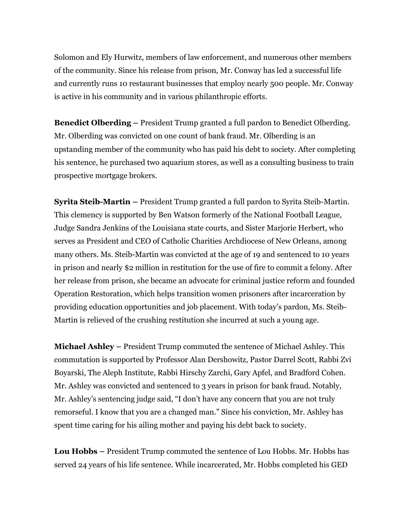Solomon and Ely Hurwitz, members of law enforcement, and numerous other members of the community. Since his release from prison, Mr. Conway has led a successful life and currently runs 10 restaurant businesses that employ nearly 500 people. Mr. Conway is active in his community and in various philanthropic efforts.

**Benedict Olberding –** President Trump granted a full pardon to Benedict Olberding. Mr. Olberding was convicted on one count of bank fraud. Mr. Olberding is an upstanding member of the community who has paid his debt to society. After completing his sentence, he purchased two aquarium stores, as well as a consulting business to train prospective mortgage brokers.

**Syrita Steib-Martin –** President Trump granted a full pardon to Syrita Steib-Martin. This clemency is supported by Ben Watson formerly of the National Football League, Judge Sandra Jenkins of the Louisiana state courts, and Sister Marjorie Herbert, who serves as President and CEO of Catholic Charities Archdiocese of New Orleans, among many others. Ms. Steib-Martin was convicted at the age of 19 and sentenced to 10 years in prison and nearly \$2 million in restitution for the use of fire to commit a felony. After her release from prison, she became an advocate for criminal justice reform and founded Operation Restoration, which helps transition women prisoners after incarceration by providing education opportunities and job placement. With today's pardon, Ms. Steib-Martin is relieved of the crushing restitution she incurred at such a young age.

**Michael Ashley –** President Trump commuted the sentence of Michael Ashley. This commutation is supported by Professor Alan Dershowitz, Pastor Darrel Scott, Rabbi Zvi Boyarski, The Aleph Institute, Rabbi Hirschy Zarchi, Gary Apfel, and Bradford Cohen. Mr. Ashley was convicted and sentenced to 3 years in prison for bank fraud. Notably, Mr. Ashley's sentencing judge said, "I don't have any concern that you are not truly remorseful. I know that you are a changed man." Since his conviction, Mr. Ashley has spent time caring for his ailing mother and paying his debt back to society.

**Lou Hobbs –** President Trump commuted the sentence of Lou Hobbs. Mr. Hobbs has served 24 years of his life sentence. While incarcerated, Mr. Hobbs completed his GED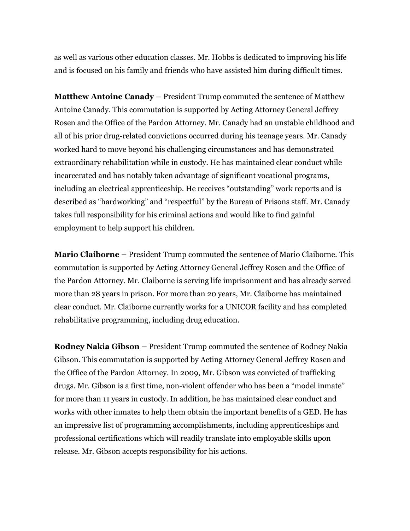as well as various other education classes. Mr. Hobbs is dedicated to improving his life and is focused on his family and friends who have assisted him during difficult times.

**Matthew Antoine Canady –** President Trump commuted the sentence of Matthew Antoine Canady. This commutation is supported by Acting Attorney General Jeffrey Rosen and the Office of the Pardon Attorney. Mr. Canady had an unstable childhood and all of his prior drug-related convictions occurred during his teenage years. Mr. Canady worked hard to move beyond his challenging circumstances and has demonstrated extraordinary rehabilitation while in custody. He has maintained clear conduct while incarcerated and has notably taken advantage of significant vocational programs, including an electrical apprenticeship. He receives "outstanding" work reports and is described as "hardworking" and "respectful" by the Bureau of Prisons staff. Mr. Canady takes full responsibility for his criminal actions and would like to find gainful employment to help support his children.

**Mario Claiborne –** President Trump commuted the sentence of Mario Claiborne. This commutation is supported by Acting Attorney General Jeffrey Rosen and the Office of the Pardon Attorney. Mr. Claiborne is serving life imprisonment and has already served more than 28 years in prison. For more than 20 years, Mr. Claiborne has maintained clear conduct. Mr. Claiborne currently works for a UNICOR facility and has completed rehabilitative programming, including drug education.

**Rodney Nakia Gibson –** President Trump commuted the sentence of Rodney Nakia Gibson. This commutation is supported by Acting Attorney General Jeffrey Rosen and the Office of the Pardon Attorney. In 2009, Mr. Gibson was convicted of trafficking drugs. Mr. Gibson is a first time, non-violent offender who has been a "model inmate" for more than 11 years in custody. In addition, he has maintained clear conduct and works with other inmates to help them obtain the important benefits of a GED. He has an impressive list of programming accomplishments, including apprenticeships and professional certifications which will readily translate into employable skills upon release. Mr. Gibson accepts responsibility for his actions.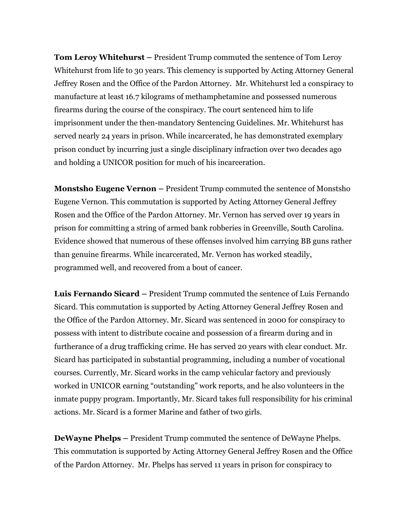**Tom Leroy Whitehurst –** President Trump commuted the sentence of Tom Leroy Whitehurst from life to 30 years. This clemency is supported by Acting Attorney General Jeffrey Rosen and the Office of the Pardon Attorney. Mr. Whitehurst led a conspiracy to manufacture at least 16.7 kilograms of methamphetamine and possessed numerous firearms during the course of the conspiracy. The court sentenced him to life imprisonment under the then-mandatory Sentencing Guidelines. Mr. Whitehurst has served nearly 24 years in prison. While incarcerated, he has demonstrated exemplary prison conduct by incurring just a single disciplinary infraction over two decades ago and holding a UNICOR position for much of his incarceration.

**Monstsho Eugene Vernon –** President Trump commuted the sentence of Monstsho Eugene Vernon. This commutation is supported by Acting Attorney General Jeffrey Rosen and the Office of the Pardon Attorney. Mr. Vernon has served over 19 years in prison for committing a string of armed bank robberies in Greenville, South Carolina. Evidence showed that numerous of these offenses involved him carrying BB guns rather than genuine firearms. While incarcerated, Mr. Vernon has worked steadily, programmed well, and recovered from a bout of cancer.

**Luis Fernando Sicard –** President Trump commuted the sentence of Luis Fernando Sicard. This commutation is supported by Acting Attorney General Jeffrey Rosen and the Office of the Pardon Attorney. Mr. Sicard was sentenced in 2000 for conspiracy to possess with intent to distribute cocaine and possession of a firearm during and in furtherance of a drug trafficking crime. He has served 20 years with clear conduct. Mr. Sicard has participated in substantial programming, including a number of vocational courses. Currently, Mr. Sicard works in the camp vehicular factory and previously worked in UNICOR earning "outstanding" work reports, and he also volunteers in the inmate puppy program. Importantly, Mr. Sicard takes full responsibility for his criminal actions. Mr. Sicard is a former Marine and father of two girls.

**DeWayne Phelps –** President Trump commuted the sentence of DeWayne Phelps. This commutation is supported by Acting Attorney General Jeffrey Rosen and the Office of the Pardon Attorney. Mr. Phelps has served 11 years in prison for conspiracy to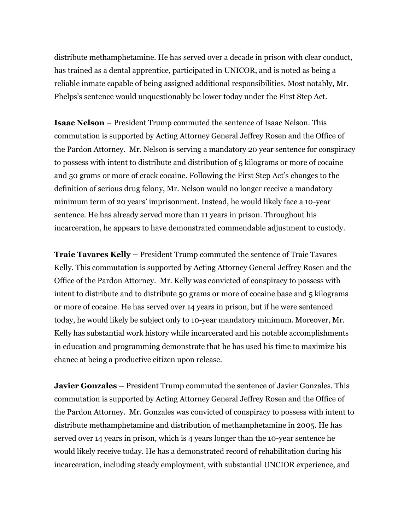distribute methamphetamine. He has served over a decade in prison with clear conduct, has trained as a dental apprentice, participated in UNICOR, and is noted as being a reliable inmate capable of being assigned additional responsibilities. Most notably, Mr. Phelps's sentence would unquestionably be lower today under the First Step Act.

**Isaac Nelson –** President Trump commuted the sentence of Isaac Nelson. This commutation is supported by Acting Attorney General Jeffrey Rosen and the Office of the Pardon Attorney. Mr. Nelson is serving a mandatory 20 year sentence for conspiracy to possess with intent to distribute and distribution of 5 kilograms or more of cocaine and 50 grams or more of crack cocaine. Following the First Step Act's changes to the definition of serious drug felony, Mr. Nelson would no longer receive a mandatory minimum term of 20 years' imprisonment. Instead, he would likely face a 10-year sentence. He has already served more than 11 years in prison. Throughout his incarceration, he appears to have demonstrated commendable adjustment to custody.

**Traie Tavares Kelly –** President Trump commuted the sentence of Traie Tavares Kelly. This commutation is supported by Acting Attorney General Jeffrey Rosen and the Office of the Pardon Attorney. Mr. Kelly was convicted of conspiracy to possess with intent to distribute and to distribute 50 grams or more of cocaine base and 5 kilograms or more of cocaine. He has served over 14 years in prison, but if he were sentenced today, he would likely be subject only to 10-year mandatory minimum. Moreover, Mr. Kelly has substantial work history while incarcerated and his notable accomplishments in education and programming demonstrate that he has used his time to maximize his chance at being a productive citizen upon release.

**Javier Gonzales –** President Trump commuted the sentence of Javier Gonzales. This commutation is supported by Acting Attorney General Jeffrey Rosen and the Office of the Pardon Attorney. Mr. Gonzales was convicted of conspiracy to possess with intent to distribute methamphetamine and distribution of methamphetamine in 2005. He has served over 14 years in prison, which is 4 years longer than the 10-year sentence he would likely receive today. He has a demonstrated record of rehabilitation during his incarceration, including steady employment, with substantial UNCIOR experience, and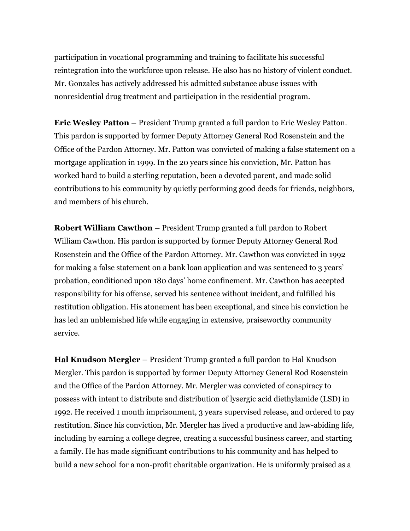participation in vocational programming and training to facilitate his successful reintegration into the workforce upon release. He also has no history of violent conduct. Mr. Gonzales has actively addressed his admitted substance abuse issues with nonresidential drug treatment and participation in the residential program.

**Eric Wesley Patton –** President Trump granted a full pardon to Eric Wesley Patton. This pardon is supported by former Deputy Attorney General Rod Rosenstein and the Office of the Pardon Attorney. Mr. Patton was convicted of making a false statement on a mortgage application in 1999. In the 20 years since his conviction, Mr. Patton has worked hard to build a sterling reputation, been a devoted parent, and made solid contributions to his community by quietly performing good deeds for friends, neighbors, and members of his church.

**Robert William Cawthon –** President Trump granted a full pardon to Robert William Cawthon. His pardon is supported by former Deputy Attorney General Rod Rosenstein and the Office of the Pardon Attorney. Mr. Cawthon was convicted in 1992 for making a false statement on a bank loan application and was sentenced to 3 years' probation, conditioned upon 180 days' home confinement. Mr. Cawthon has accepted responsibility for his offense, served his sentence without incident, and fulfilled his restitution obligation. His atonement has been exceptional, and since his conviction he has led an unblemished life while engaging in extensive, praiseworthy community service.

**Hal Knudson Mergler –** President Trump granted a full pardon to Hal Knudson Mergler. This pardon is supported by former Deputy Attorney General Rod Rosenstein and the Office of the Pardon Attorney. Mr. Mergler was convicted of conspiracy to possess with intent to distribute and distribution of lysergic acid diethylamide (LSD) in 1992. He received 1 month imprisonment, 3 years supervised release, and ordered to pay restitution. Since his conviction, Mr. Mergler has lived a productive and law-abiding life, including by earning a college degree, creating a successful business career, and starting a family. He has made significant contributions to his community and has helped to build a new school for a non-profit charitable organization. He is uniformly praised as a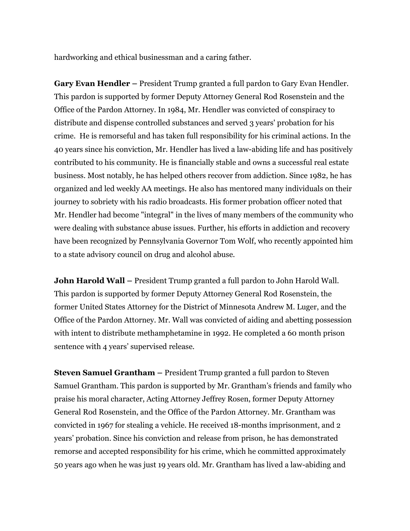hardworking and ethical businessman and a caring father.

**Gary Evan Hendler –** President Trump granted a full pardon to Gary Evan Hendler. This pardon is supported by former Deputy Attorney General Rod Rosenstein and the Office of the Pardon Attorney. In 1984, Mr. Hendler was convicted of conspiracy to distribute and dispense controlled substances and served 3 years' probation for his crime. He is remorseful and has taken full responsibility for his criminal actions. In the 40 years since his conviction, Mr. Hendler has lived a law-abiding life and has positively contributed to his community. He is financially stable and owns a successful real estate business. Most notably, he has helped others recover from addiction. Since 1982, he has organized and led weekly AA meetings. He also has mentored many individuals on their journey to sobriety with his radio broadcasts. His former probation officer noted that Mr. Hendler had become "integral" in the lives of many members of the community who were dealing with substance abuse issues. Further, his efforts in addiction and recovery have been recognized by Pennsylvania Governor Tom Wolf, who recently appointed him to a state advisory council on drug and alcohol abuse.

**John Harold Wall –** President Trump granted a full pardon to John Harold Wall. This pardon is supported by former Deputy Attorney General Rod Rosenstein, the former United States Attorney for the District of Minnesota Andrew M. Luger, and the Office of the Pardon Attorney. Mr. Wall was convicted of aiding and abetting possession with intent to distribute methamphetamine in 1992. He completed a 60 month prison sentence with 4 years' supervised release.

**Steven Samuel Grantham –** President Trump granted a full pardon to Steven Samuel Grantham. This pardon is supported by Mr. Grantham's friends and family who praise his moral character, Acting Attorney Jeffrey Rosen, former Deputy Attorney General Rod Rosenstein, and the Office of the Pardon Attorney. Mr. Grantham was convicted in 1967 for stealing a vehicle. He received 18-months imprisonment, and 2 years' probation. Since his conviction and release from prison, he has demonstrated remorse and accepted responsibility for his crime, which he committed approximately 50 years ago when he was just 19 years old. Mr. Grantham has lived a law-abiding and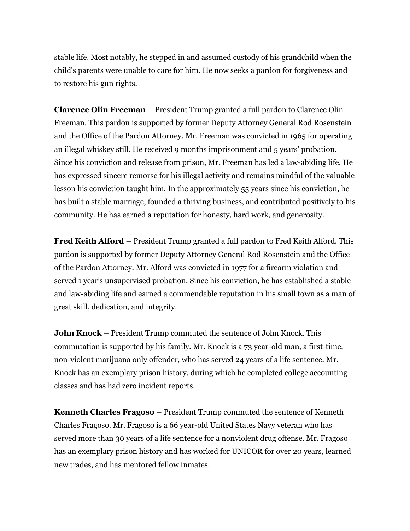stable life. Most notably, he stepped in and assumed custody of his grandchild when the child's parents were unable to care for him. He now seeks a pardon for forgiveness and to restore his gun rights.

**Clarence Olin Freeman –** President Trump granted a full pardon to Clarence Olin Freeman. This pardon is supported by former Deputy Attorney General Rod Rosenstein and the Office of the Pardon Attorney. Mr. Freeman was convicted in 1965 for operating an illegal whiskey still. He received 9 months imprisonment and 5 years' probation. Since his conviction and release from prison, Mr. Freeman has led a law-abiding life. He has expressed sincere remorse for his illegal activity and remains mindful of the valuable lesson his conviction taught him. In the approximately 55 years since his conviction, he has built a stable marriage, founded a thriving business, and contributed positively to his community. He has earned a reputation for honesty, hard work, and generosity.

**Fred Keith Alford –** President Trump granted a full pardon to Fred Keith Alford. This pardon is supported by former Deputy Attorney General Rod Rosenstein and the Office of the Pardon Attorney. Mr. Alford was convicted in 1977 for a firearm violation and served 1 year's unsupervised probation. Since his conviction, he has established a stable and law-abiding life and earned a commendable reputation in his small town as a man of great skill, dedication, and integrity.

**John Knock –** President Trump commuted the sentence of John Knock. This commutation is supported by his family. Mr. Knock is a 73 year-old man, a first-time, non-violent marijuana only offender, who has served 24 years of a life sentence. Mr. Knock has an exemplary prison history, during which he completed college accounting classes and has had zero incident reports.

**Kenneth Charles Fragoso –** President Trump commuted the sentence of Kenneth Charles Fragoso. Mr. Fragoso is a 66 year-old United States Navy veteran who has served more than 30 years of a life sentence for a nonviolent drug offense. Mr. Fragoso has an exemplary prison history and has worked for UNICOR for over 20 years, learned new trades, and has mentored fellow inmates.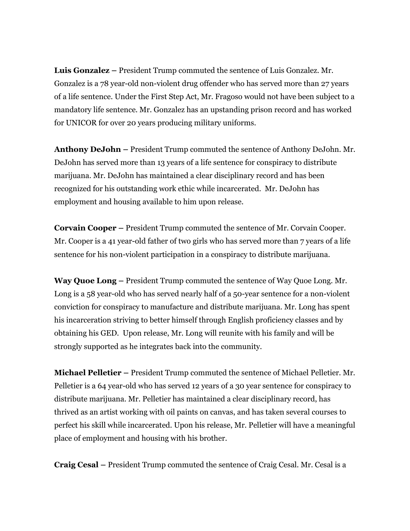**Luis Gonzalez –** President Trump commuted the sentence of Luis Gonzalez. Mr. Gonzalez is a 78 year-old non-violent drug offender who has served more than 27 years of a life sentence. Under the First Step Act, Mr. Fragoso would not have been subject to a mandatory life sentence. Mr. Gonzalez has an upstanding prison record and has worked for UNICOR for over 20 years producing military uniforms.

**Anthony DeJohn –** President Trump commuted the sentence of Anthony DeJohn. Mr. DeJohn has served more than 13 years of a life sentence for conspiracy to distribute marijuana. Mr. DeJohn has maintained a clear disciplinary record and has been recognized for his outstanding work ethic while incarcerated. Mr. DeJohn has employment and housing available to him upon release.

**Corvain Cooper –** President Trump commuted the sentence of Mr. Corvain Cooper. Mr. Cooper is a 41 year-old father of two girls who has served more than 7 years of a life sentence for his non-violent participation in a conspiracy to distribute marijuana.

**Way Quoe Long –** President Trump commuted the sentence of Way Quoe Long. Mr. Long is a 58 year-old who has served nearly half of a 50-year sentence for a non-violent conviction for conspiracy to manufacture and distribute marijuana. Mr. Long has spent his incarceration striving to better himself through English proficiency classes and by obtaining his GED. Upon release, Mr. Long will reunite with his family and will be strongly supported as he integrates back into the community.

**Michael Pelletier –** President Trump commuted the sentence of Michael Pelletier. Mr. Pelletier is a 64 year-old who has served 12 years of a 30 year sentence for conspiracy to distribute marijuana. Mr. Pelletier has maintained a clear disciplinary record, has thrived as an artist working with oil paints on canvas, and has taken several courses to perfect his skill while incarcerated. Upon his release, Mr. Pelletier will have a meaningful place of employment and housing with his brother.

**Craig Cesal –** President Trump commuted the sentence of Craig Cesal. Mr. Cesal is a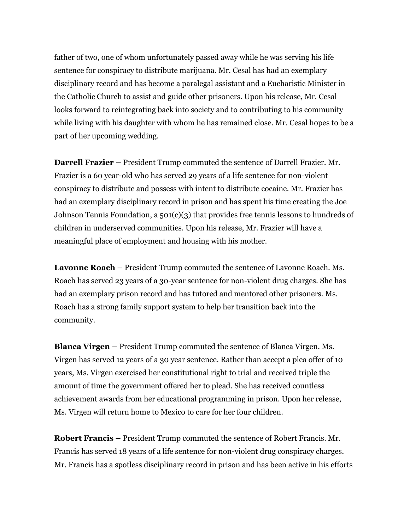father of two, one of whom unfortunately passed away while he was serving his life sentence for conspiracy to distribute marijuana. Mr. Cesal has had an exemplary disciplinary record and has become a paralegal assistant and a Eucharistic Minister in the Catholic Church to assist and guide other prisoners. Upon his release, Mr. Cesal looks forward to reintegrating back into society and to contributing to his community while living with his daughter with whom he has remained close. Mr. Cesal hopes to be a part of her upcoming wedding.

**Darrell Frazier –** President Trump commuted the sentence of Darrell Frazier. Mr. Frazier is a 60 year-old who has served 29 years of a life sentence for non-violent conspiracy to distribute and possess with intent to distribute cocaine. Mr. Frazier has had an exemplary disciplinary record in prison and has spent his time creating the Joe Johnson Tennis Foundation, a 501(c)(3) that provides free tennis lessons to hundreds of children in underserved communities. Upon his release, Mr. Frazier will have a meaningful place of employment and housing with his mother.

**Lavonne Roach –** President Trump commuted the sentence of Lavonne Roach. Ms. Roach has served 23 years of a 30-year sentence for non-violent drug charges. She has had an exemplary prison record and has tutored and mentored other prisoners. Ms. Roach has a strong family support system to help her transition back into the community.

**Blanca Virgen –** President Trump commuted the sentence of Blanca Virgen. Ms. Virgen has served 12 years of a 30 year sentence. Rather than accept a plea offer of 10 years, Ms. Virgen exercised her constitutional right to trial and received triple the amount of time the government offered her to plead. She has received countless achievement awards from her educational programming in prison. Upon her release, Ms. Virgen will return home to Mexico to care for her four children.

**Robert Francis –** President Trump commuted the sentence of Robert Francis. Mr. Francis has served 18 years of a life sentence for non-violent drug conspiracy charges. Mr. Francis has a spotless disciplinary record in prison and has been active in his efforts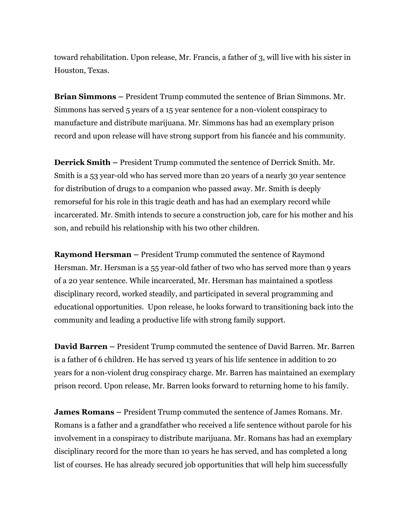toward rehabilitation. Upon release, Mr. Francis, a father of 3, will live with his sister in Houston, Texas.

**Brian Simmons –** President Trump commuted the sentence of Brian Simmons. Mr. Simmons has served 5 years of a 15 year sentence for a non-violent conspiracy to manufacture and distribute marijuana. Mr. Simmons has had an exemplary prison record and upon release will have strong support from his fiancée and his community.

**Derrick Smith –** President Trump commuted the sentence of Derrick Smith. Mr. Smith is a 53 year-old who has served more than 20 years of a nearly 30 year sentence for distribution of drugs to a companion who passed away. Mr. Smith is deeply remorseful for his role in this tragic death and has had an exemplary record while incarcerated. Mr. Smith intends to secure a construction job, care for his mother and his son, and rebuild his relationship with his two other children.

**Raymond Hersman –** President Trump commuted the sentence of Raymond Hersman. Mr. Hersman is a 55 year-old father of two who has served more than 9 years of a 20 year sentence. While incarcerated, Mr. Hersman has maintained a spotless disciplinary record, worked steadily, and participated in several programming and educational opportunities. Upon release, he looks forward to transitioning back into the community and leading a productive life with strong family support.

**David Barren –** President Trump commuted the sentence of David Barren. Mr. Barren is a father of 6 children. He has served 13 years of his life sentence in addition to 20 years for a non-violent drug conspiracy charge. Mr. Barren has maintained an exemplary prison record. Upon release, Mr. Barren looks forward to returning home to his family.

**James Romans –** President Trump commuted the sentence of James Romans. Mr. Romans is a father and a grandfather who received a life sentence without parole for his involvement in a conspiracy to distribute marijuana. Mr. Romans has had an exemplary disciplinary record for the more than 10 years he has served, and has completed a long list of courses. He has already secured job opportunities that will help him successfully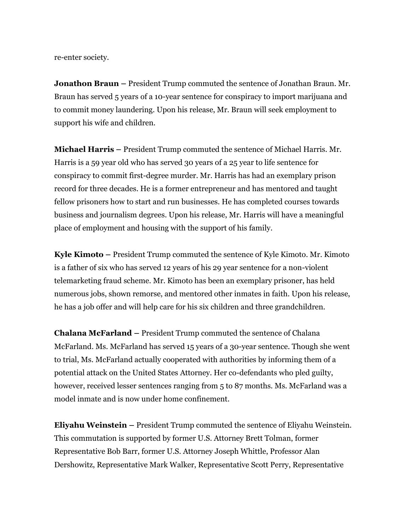re-enter society.

**Jonathon Braun –** President Trump commuted the sentence of Jonathan Braun. Mr. Braun has served 5 years of a 10-year sentence for conspiracy to import marijuana and to commit money laundering. Upon his release, Mr. Braun will seek employment to support his wife and children.

**Michael Harris –** President Trump commuted the sentence of Michael Harris. Mr. Harris is a 59 year old who has served 30 years of a 25 year to life sentence for conspiracy to commit first-degree murder. Mr. Harris has had an exemplary prison record for three decades. He is a former entrepreneur and has mentored and taught fellow prisoners how to start and run businesses. He has completed courses towards business and journalism degrees. Upon his release, Mr. Harris will have a meaningful place of employment and housing with the support of his family.

**Kyle Kimoto –** President Trump commuted the sentence of Kyle Kimoto. Mr. Kimoto is a father of six who has served 12 years of his 29 year sentence for a non-violent telemarketing fraud scheme. Mr. Kimoto has been an exemplary prisoner, has held numerous jobs, shown remorse, and mentored other inmates in faith. Upon his release, he has a job offer and will help care for his six children and three grandchildren.

**Chalana McFarland –** President Trump commuted the sentence of Chalana McFarland. Ms. McFarland has served 15 years of a 30-year sentence. Though she went to trial, Ms. McFarland actually cooperated with authorities by informing them of a potential attack on the United States Attorney. Her co-defendants who pled guilty, however, received lesser sentences ranging from 5 to 87 months. Ms. McFarland was a model inmate and is now under home confinement.

**Eliyahu Weinstein –** President Trump commuted the sentence of Eliyahu Weinstein. This commutation is supported by former U.S. Attorney Brett Tolman, former Representative Bob Barr, former U.S. Attorney Joseph Whittle, Professor Alan Dershowitz, Representative Mark Walker, Representative Scott Perry, Representative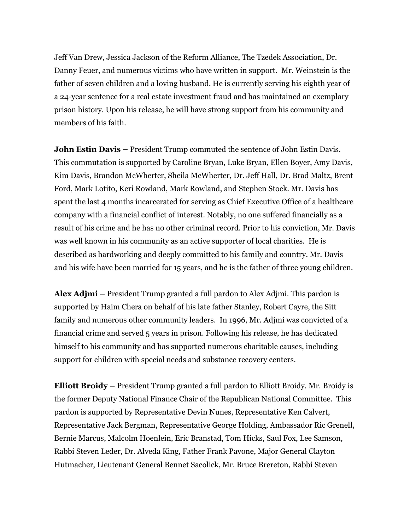Jeff Van Drew, Jessica Jackson of the Reform Alliance, The Tzedek Association, Dr. Danny Feuer, and numerous victims who have written in support. Mr. Weinstein is the father of seven children and a loving husband. He is currently serving his eighth year of a 24-year sentence for a real estate investment fraud and has maintained an exemplary prison history. Upon his release, he will have strong support from his community and members of his faith.

**John Estin Davis –** President Trump commuted the sentence of John Estin Davis. This commutation is supported by Caroline Bryan, Luke Bryan, Ellen Boyer, Amy Davis, Kim Davis, Brandon McWherter, Sheila McWherter, Dr. Jeff Hall, Dr. Brad Maltz, Brent Ford, Mark Lotito, Keri Rowland, Mark Rowland, and Stephen Stock. Mr. Davis has spent the last 4 months incarcerated for serving as Chief Executive Office of a healthcare company with a financial conflict of interest. Notably, no one suffered financially as a result of his crime and he has no other criminal record. Prior to his conviction, Mr. Davis was well known in his community as an active supporter of local charities. He is described as hardworking and deeply committed to his family and country. Mr. Davis and his wife have been married for 15 years, and he is the father of three young children.

**Alex Adjmi –** President Trump granted a full pardon to Alex Adjmi. This pardon is supported by Haim Chera on behalf of his late father Stanley, Robert Cayre, the Sitt family and numerous other community leaders. In 1996, Mr. Adjmi was convicted of a financial crime and served 5 years in prison. Following his release, he has dedicated himself to his community and has supported numerous charitable causes, including support for children with special needs and substance recovery centers.

**Elliott Broidy –** President Trump granted a full pardon to Elliott Broidy. Mr. Broidy is the former Deputy National Finance Chair of the Republican National Committee. This pardon is supported by Representative Devin Nunes, Representative Ken Calvert, Representative Jack Bergman, Representative George Holding, Ambassador Ric Grenell, Bernie Marcus, Malcolm Hoenlein, Eric Branstad, Tom Hicks, Saul Fox, Lee Samson, Rabbi Steven Leder, Dr. Alveda King, Father Frank Pavone, Major General Clayton Hutmacher, Lieutenant General Bennet Sacolick, Mr. Bruce Brereton, Rabbi Steven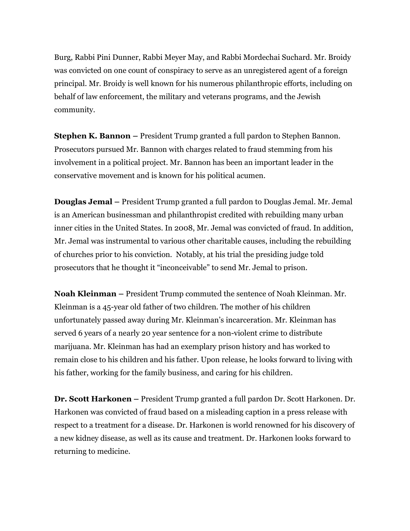Burg, Rabbi Pini Dunner, Rabbi Meyer May, and Rabbi Mordechai Suchard. Mr. Broidy was convicted on one count of conspiracy to serve as an unregistered agent of a foreign principal. Mr. Broidy is well known for his numerous philanthropic efforts, including on behalf of law enforcement, the military and veterans programs, and the Jewish community.

**Stephen K. Bannon –** President Trump granted a full pardon to Stephen Bannon. Prosecutors pursued Mr. Bannon with charges related to fraud stemming from his involvement in a political project. Mr. Bannon has been an important leader in the conservative movement and is known for his political acumen.

**Douglas Jemal –** President Trump granted a full pardon to Douglas Jemal. Mr. Jemal is an American businessman and philanthropist credited with rebuilding many urban inner cities in the United States. In 2008, Mr. Jemal was convicted of fraud. In addition, Mr. Jemal was instrumental to various other charitable causes, including the rebuilding of churches prior to his conviction. Notably, at his trial the presiding judge told prosecutors that he thought it "inconceivable" to send Mr. Jemal to prison.

**Noah Kleinman –** President Trump commuted the sentence of Noah Kleinman. Mr. Kleinman is a 45-year old father of two children. The mother of his children unfortunately passed away during Mr. Kleinman's incarceration. Mr. Kleinman has served 6 years of a nearly 20 year sentence for a non-violent crime to distribute marijuana. Mr. Kleinman has had an exemplary prison history and has worked to remain close to his children and his father. Upon release, he looks forward to living with his father, working for the family business, and caring for his children.

**Dr. Scott Harkonen –** President Trump granted a full pardon Dr. Scott Harkonen. Dr. Harkonen was convicted of fraud based on a misleading caption in a press release with respect to a treatment for a disease. Dr. Harkonen is world renowned for his discovery of a new kidney disease, as well as its cause and treatment. Dr. Harkonen looks forward to returning to medicine.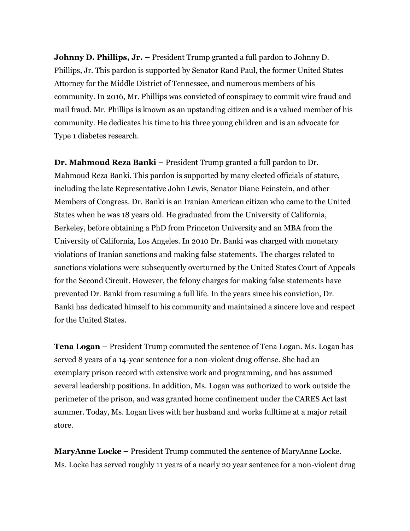**Johnny D. Phillips, Jr. –** President Trump granted a full pardon to Johnny D. Phillips, Jr. This pardon is supported by Senator Rand Paul, the former United States Attorney for the Middle District of Tennessee, and numerous members of his community. In 2016, Mr. Phillips was convicted of conspiracy to commit wire fraud and mail fraud. Mr. Phillips is known as an upstanding citizen and is a valued member of his community. He dedicates his time to his three young children and is an advocate for Type 1 diabetes research.

**Dr. Mahmoud Reza Banki –** President Trump granted a full pardon to Dr. Mahmoud Reza Banki. This pardon is supported by many elected officials of stature, including the late Representative John Lewis, Senator Diane Feinstein, and other Members of Congress. Dr. Banki is an Iranian American citizen who came to the United States when he was 18 years old. He graduated from the University of California, Berkeley, before obtaining a PhD from Princeton University and an MBA from the University of California, Los Angeles. In 2010 Dr. Banki was charged with monetary violations of Iranian sanctions and making false statements. The charges related to sanctions violations were subsequently overturned by the United States Court of Appeals for the Second Circuit. However, the felony charges for making false statements have prevented Dr. Banki from resuming a full life. In the years since his conviction, Dr. Banki has dedicated himself to his community and maintained a sincere love and respect for the United States.

**Tena Logan –** President Trump commuted the sentence of Tena Logan. Ms. Logan has served 8 years of a 14-year sentence for a non-violent drug offense. She had an exemplary prison record with extensive work and programming, and has assumed several leadership positions. In addition, Ms. Logan was authorized to work outside the perimeter of the prison, and was granted home confinement under the CARES Act last summer. Today, Ms. Logan lives with her husband and works fulltime at a major retail store.

**MaryAnne Locke –** President Trump commuted the sentence of MaryAnne Locke. Ms. Locke has served roughly 11 years of a nearly 20 year sentence for a non-violent drug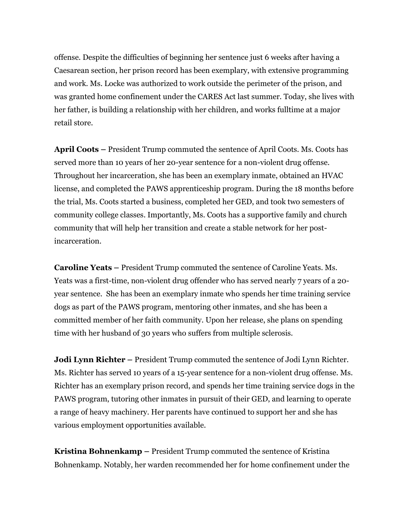offense. Despite the difficulties of beginning her sentence just 6 weeks after having a Caesarean section, her prison record has been exemplary, with extensive programming and work. Ms. Locke was authorized to work outside the perimeter of the prison, and was granted home confinement under the CARES Act last summer. Today, she lives with her father, is building a relationship with her children, and works fulltime at a major retail store.

**April Coots –** President Trump commuted the sentence of April Coots. Ms. Coots has served more than 10 years of her 20-year sentence for a non-violent drug offense. Throughout her incarceration, she has been an exemplary inmate, obtained an HVAC license, and completed the PAWS apprenticeship program. During the 18 months before the trial, Ms. Coots started a business, completed her GED, and took two semesters of community college classes. Importantly, Ms. Coots has a supportive family and church community that will help her transition and create a stable network for her postincarceration.

**Caroline Yeats –** President Trump commuted the sentence of Caroline Yeats. Ms. Yeats was a first-time, non-violent drug offender who has served nearly 7 years of a 20 year sentence. She has been an exemplary inmate who spends her time training service dogs as part of the PAWS program, mentoring other inmates, and she has been a committed member of her faith community. Upon her release, she plans on spending time with her husband of 30 years who suffers from multiple sclerosis.

**Jodi Lynn Richter –** President Trump commuted the sentence of Jodi Lynn Richter. Ms. Richter has served 10 years of a 15-year sentence for a non-violent drug offense. Ms. Richter has an exemplary prison record, and spends her time training service dogs in the PAWS program, tutoring other inmates in pursuit of their GED, and learning to operate a range of heavy machinery. Her parents have continued to support her and she has various employment opportunities available.

**Kristina Bohnenkamp –** President Trump commuted the sentence of Kristina Bohnenkamp. Notably, her warden recommended her for home confinement under the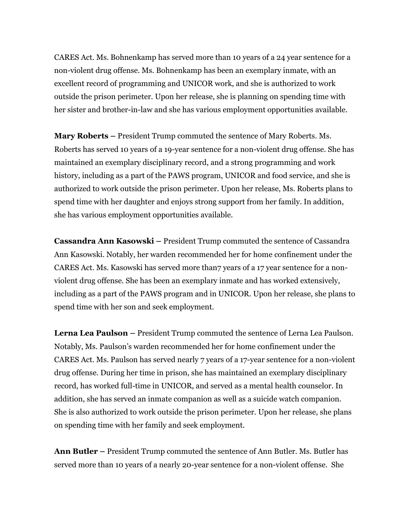CARES Act. Ms. Bohnenkamp has served more than 10 years of a 24 year sentence for a non-violent drug offense. Ms. Bohnenkamp has been an exemplary inmate, with an excellent record of programming and UNICOR work, and she is authorized to work outside the prison perimeter. Upon her release, she is planning on spending time with her sister and brother-in-law and she has various employment opportunities available.

**Mary Roberts –** President Trump commuted the sentence of Mary Roberts. Ms. Roberts has served 10 years of a 19-year sentence for a non-violent drug offense. She has maintained an exemplary disciplinary record, and a strong programming and work history, including as a part of the PAWS program, UNICOR and food service, and she is authorized to work outside the prison perimeter. Upon her release, Ms. Roberts plans to spend time with her daughter and enjoys strong support from her family. In addition, she has various employment opportunities available.

**Cassandra Ann Kasowski –** President Trump commuted the sentence of Cassandra Ann Kasowski. Notably, her warden recommended her for home confinement under the CARES Act. Ms. Kasowski has served more than7 years of a 17 year sentence for a nonviolent drug offense. She has been an exemplary inmate and has worked extensively, including as a part of the PAWS program and in UNICOR. Upon her release, she plans to spend time with her son and seek employment.

**Lerna Lea Paulson –** President Trump commuted the sentence of Lerna Lea Paulson. Notably, Ms. Paulson's warden recommended her for home confinement under the CARES Act. Ms. Paulson has served nearly 7 years of a 17-year sentence for a non-violent drug offense. During her time in prison, she has maintained an exemplary disciplinary record, has worked full-time in UNICOR, and served as a mental health counselor. In addition, she has served an inmate companion as well as a suicide watch companion. She is also authorized to work outside the prison perimeter. Upon her release, she plans on spending time with her family and seek employment.

**Ann Butler –** President Trump commuted the sentence of Ann Butler. Ms. Butler has served more than 10 years of a nearly 20-year sentence for a non-violent offense. She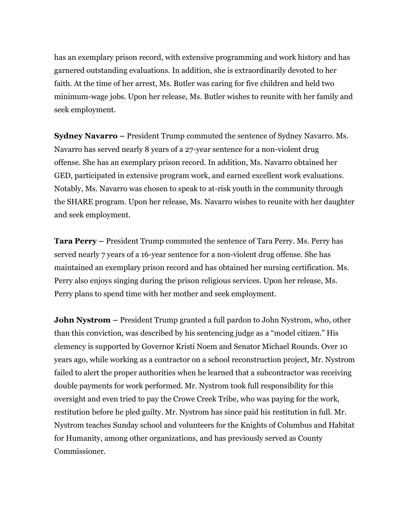has an exemplary prison record, with extensive programming and work history and has garnered outstanding evaluations. In addition, she is extraordinarily devoted to her faith. At the time of her arrest, Ms. Butler was caring for five children and held two minimum-wage jobs. Upon her release, Ms. Butler wishes to reunite with her family and seek employment.

**Sydney Navarro –** President Trump commuted the sentence of Sydney Navarro. Ms. Navarro has served nearly 8 years of a 27-year sentence for a non-violent drug offense. She has an exemplary prison record. In addition, Ms. Navarro obtained her GED, participated in extensive program work, and earned excellent work evaluations. Notably, Ms. Navarro was chosen to speak to at-risk youth in the community through the SHARE program. Upon her release, Ms. Navarro wishes to reunite with her daughter and seek employment.

**Tara Perry –** President Trump commuted the sentence of Tara Perry. Ms. Perry has served nearly 7 years of a 16-year sentence for a non-violent drug offense. She has maintained an exemplary prison record and has obtained her nursing certification. Ms. Perry also enjoys singing during the prison religious services. Upon her release, Ms. Perry plans to spend time with her mother and seek employment.

**John Nystrom** – President Trump granted a full pardon to John Nystrom, who, other than this conviction, was described by his sentencing judge as a "model citizen." His clemency is supported by Governor Kristi Noem and Senator Michael Rounds. Over 10 years ago, while working as a contractor on a school reconstruction project, Mr. Nystrom failed to alert the proper authorities when he learned that a subcontractor was receiving double payments for work performed. Mr. Nystrom took full responsibility for this oversight and even tried to pay the Crowe Creek Tribe, who was paying for the work, restitution before he pled guilty. Mr. Nystrom has since paid his restitution in full. Mr. Nystrom teaches Sunday school and volunteers for the Knights of Columbus and Habitat for Humanity, among other organizations, and has previously served as County Commissioner.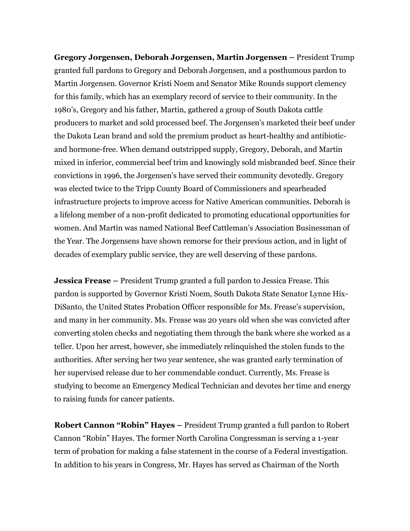**Gregory Jorgensen, Deborah Jorgensen, Martin Jorgensen –** President Trump granted full pardons to Gregory and Deborah Jorgensen, and a posthumous pardon to Martin Jorgensen. Governor Kristi Noem and Senator Mike Rounds support clemency for this family, which has an exemplary record of service to their community. In the 1980's, Gregory and his father, Martin, gathered a group of South Dakota cattle producers to market and sold processed beef. The Jorgensen's marketed their beef under the Dakota Lean brand and sold the premium product as heart-healthy and antibioticand hormone-free. When demand outstripped supply, Gregory, Deborah, and Martin mixed in inferior, commercial beef trim and knowingly sold misbranded beef. Since their convictions in 1996, the Jorgensen's have served their community devotedly. Gregory was elected twice to the Tripp County Board of Commissioners and spearheaded infrastructure projects to improve access for Native American communities. Deborah is a lifelong member of a non-profit dedicated to promoting educational opportunities for women. And Martin was named National Beef Cattleman's Association Businessman of the Year. The Jorgensens have shown remorse for their previous action, and in light of decades of exemplary public service, they are well deserving of these pardons.

**Jessica Frease –** President Trump granted a full pardon to Jessica Frease. This pardon is supported by Governor Kristi Noem, South Dakota State Senator Lynne Hix-DiSanto, the United States Probation Officer responsible for Ms. Frease's supervision, and many in her community. Ms. Frease was 20 years old when she was convicted after converting stolen checks and negotiating them through the bank where she worked as a teller. Upon her arrest, however, she immediately relinquished the stolen funds to the authorities. After serving her two year sentence, she was granted early termination of her supervised release due to her commendable conduct. Currently, Ms. Frease is studying to become an Emergency Medical Technician and devotes her time and energy to raising funds for cancer patients.

**Robert Cannon "Robin" Hayes –** President Trump granted a full pardon to Robert Cannon "Robin" Hayes. The former North Carolina Congressman is serving a 1-year term of probation for making a false statement in the course of a Federal investigation. In addition to his years in Congress, Mr. Hayes has served as Chairman of the North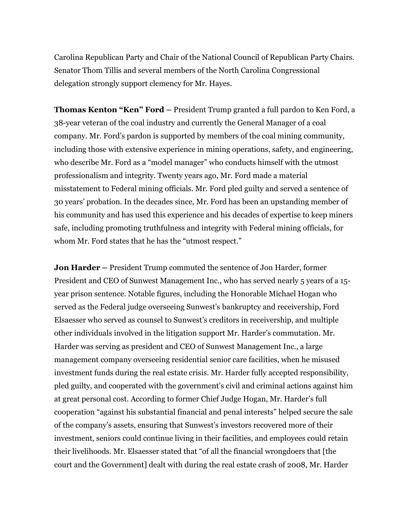Carolina Republican Party and Chair of the National Council of Republican Party Chairs. Senator Thom Tillis and several members of the North Carolina Congressional delegation strongly support clemency for Mr. Hayes.

**Thomas Kenton "Ken" Ford –** President Trump granted a full pardon to Ken Ford, a 38-year veteran of the coal industry and currently the General Manager of a coal company. Mr. Ford's pardon is supported by members of the coal mining community, including those with extensive experience in mining operations, safety, and engineering, who describe Mr. Ford as a "model manager" who conducts himself with the utmost professionalism and integrity. Twenty years ago, Mr. Ford made a material misstatement to Federal mining officials. Mr. Ford pled guilty and served a sentence of 30 years' probation. In the decades since, Mr. Ford has been an upstanding member of his community and has used this experience and his decades of expertise to keep miners safe, including promoting truthfulness and integrity with Federal mining officials, for whom Mr. Ford states that he has the "utmost respect."

**Jon Harder –** President Trump commuted the sentence of Jon Harder, former President and CEO of Sunwest Management Inc., who has served nearly 5 years of a 15 year prison sentence. Notable figures, including the Honorable Michael Hogan who served as the Federal judge overseeing Sunwest's bankruptcy and receivership, Ford Elsaesser who served as counsel to Sunwest's creditors in receivership, and multiple other individuals involved in the litigation support Mr. Harder's commutation. Mr. Harder was serving as president and CEO of Sunwest Management Inc., a large management company overseeing residential senior care facilities, when he misused investment funds during the real estate crisis. Mr. Harder fully accepted responsibility, pled guilty, and cooperated with the government's civil and criminal actions against him at great personal cost. According to former Chief Judge Hogan, Mr. Harder's full cooperation "against his substantial financial and penal interests" helped secure the sale of the company's assets, ensuring that Sunwest's investors recovered more of their investment, seniors could continue living in their facilities, and employees could retain their livelihoods. Mr. Elsaesser stated that "of all the financial wrongdoers that [the court and the Government] dealt with during the real estate crash of 2008, Mr. Harder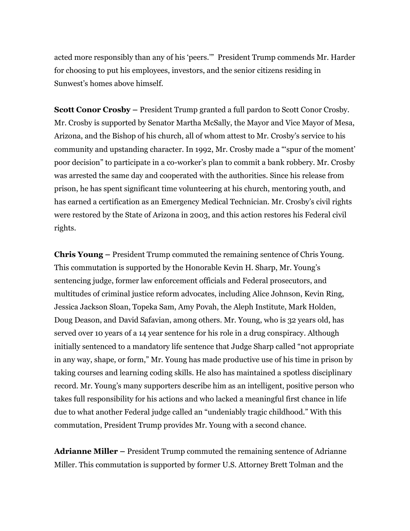acted more responsibly than any of his 'peers.'" President Trump commends Mr. Harder for choosing to put his employees, investors, and the senior citizens residing in Sunwest's homes above himself.

**Scott Conor Crosby –** President Trump granted a full pardon to Scott Conor Crosby. Mr. Crosby is supported by Senator Martha McSally, the Mayor and Vice Mayor of Mesa, Arizona, and the Bishop of his church, all of whom attest to Mr. Crosby's service to his community and upstanding character. In 1992, Mr. Crosby made a "'spur of the moment' poor decision" to participate in a co-worker's plan to commit a bank robbery. Mr. Crosby was arrested the same day and cooperated with the authorities. Since his release from prison, he has spent significant time volunteering at his church, mentoring youth, and has earned a certification as an Emergency Medical Technician. Mr. Crosby's civil rights were restored by the State of Arizona in 2003, and this action restores his Federal civil rights.

**Chris Young –** President Trump commuted the remaining sentence of Chris Young. This commutation is supported by the Honorable Kevin H. Sharp, Mr. Young's sentencing judge, former law enforcement officials and Federal prosecutors, and multitudes of criminal justice reform advocates, including Alice Johnson, Kevin Ring, Jessica Jackson Sloan, Topeka Sam, Amy Povah, the Aleph Institute, Mark Holden, Doug Deason, and David Safavian, among others. Mr. Young, who is 32 years old, has served over 10 years of a 14 year sentence for his role in a drug conspiracy. Although initially sentenced to a mandatory life sentence that Judge Sharp called "not appropriate in any way, shape, or form," Mr. Young has made productive use of his time in prison by taking courses and learning coding skills. He also has maintained a spotless disciplinary record. Mr. Young's many supporters describe him as an intelligent, positive person who takes full responsibility for his actions and who lacked a meaningful first chance in life due to what another Federal judge called an "undeniably tragic childhood." With this commutation, President Trump provides Mr. Young with a second chance.

**Adrianne Miller –** President Trump commuted the remaining sentence of Adrianne Miller. This commutation is supported by former U.S. Attorney Brett Tolman and the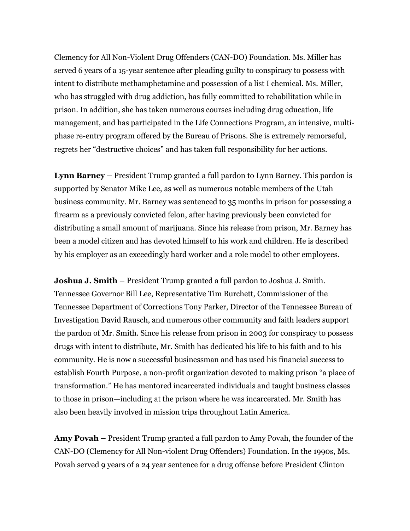Clemency for All Non-Violent Drug Offenders (CAN-DO) Foundation. Ms. Miller has served 6 years of a 15-year sentence after pleading guilty to conspiracy to possess with intent to distribute methamphetamine and possession of a list I chemical. Ms. Miller, who has struggled with drug addiction, has fully committed to rehabilitation while in prison. In addition, she has taken numerous courses including drug education, life management, and has participated in the Life Connections Program, an intensive, multiphase re-entry program offered by the Bureau of Prisons. She is extremely remorseful, regrets her "destructive choices" and has taken full responsibility for her actions.

**Lynn Barney –** President Trump granted a full pardon to Lynn Barney. This pardon is supported by Senator Mike Lee, as well as numerous notable members of the Utah business community. Mr. Barney was sentenced to 35 months in prison for possessing a firearm as a previously convicted felon, after having previously been convicted for distributing a small amount of marijuana. Since his release from prison, Mr. Barney has been a model citizen and has devoted himself to his work and children. He is described by his employer as an exceedingly hard worker and a role model to other employees.

**Joshua J. Smith –** President Trump granted a full pardon to Joshua J. Smith. Tennessee Governor Bill Lee, Representative Tim Burchett, Commissioner of the Tennessee Department of Corrections Tony Parker, Director of the Tennessee Bureau of Investigation David Rausch, and numerous other community and faith leaders support the pardon of Mr. Smith. Since his release from prison in 2003 for conspiracy to possess drugs with intent to distribute, Mr. Smith has dedicated his life to his faith and to his community. He is now a successful businessman and has used his financial success to establish Fourth Purpose, a non-profit organization devoted to making prison "a place of transformation." He has mentored incarcerated individuals and taught business classes to those in prison—including at the prison where he was incarcerated. Mr. Smith has also been heavily involved in mission trips throughout Latin America.

**Amy Povah –** President Trump granted a full pardon to Amy Povah, the founder of the CAN-DO (Clemency for All Non-violent Drug Offenders) Foundation. In the 1990s, Ms. Povah served 9 years of a 24 year sentence for a drug offense before President Clinton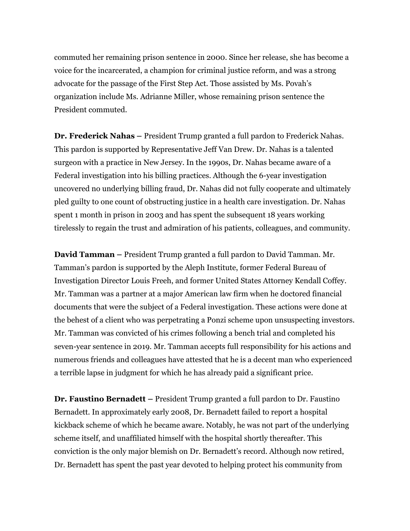commuted her remaining prison sentence in 2000. Since her release, she has become a voice for the incarcerated, a champion for criminal justice reform, and was a strong advocate for the passage of the First Step Act. Those assisted by Ms. Povah's organization include Ms. Adrianne Miller, whose remaining prison sentence the President commuted.

**Dr. Frederick Nahas –** President Trump granted a full pardon to Frederick Nahas. This pardon is supported by Representative Jeff Van Drew. Dr. Nahas is a talented surgeon with a practice in New Jersey. In the 1990s, Dr. Nahas became aware of a Federal investigation into his billing practices. Although the 6-year investigation uncovered no underlying billing fraud, Dr. Nahas did not fully cooperate and ultimately pled guilty to one count of obstructing justice in a health care investigation. Dr. Nahas spent 1 month in prison in 2003 and has spent the subsequent 18 years working tirelessly to regain the trust and admiration of his patients, colleagues, and community.

**David Tamman –** President Trump granted a full pardon to David Tamman. Mr. Tamman's pardon is supported by the Aleph Institute, former Federal Bureau of Investigation Director Louis Freeh, and former United States Attorney Kendall Coffey. Mr. Tamman was a partner at a major American law firm when he doctored financial documents that were the subject of a Federal investigation. These actions were done at the behest of a client who was perpetrating a Ponzi scheme upon unsuspecting investors. Mr. Tamman was convicted of his crimes following a bench trial and completed his seven-year sentence in 2019. Mr. Tamman accepts full responsibility for his actions and numerous friends and colleagues have attested that he is a decent man who experienced a terrible lapse in judgment for which he has already paid a significant price.

**Dr. Faustino Bernadett –** President Trump granted a full pardon to Dr. Faustino Bernadett. In approximately early 2008, Dr. Bernadett failed to report a hospital kickback scheme of which he became aware. Notably, he was not part of the underlying scheme itself, and unaffiliated himself with the hospital shortly thereafter. This conviction is the only major blemish on Dr. Bernadett's record. Although now retired, Dr. Bernadett has spent the past year devoted to helping protect his community from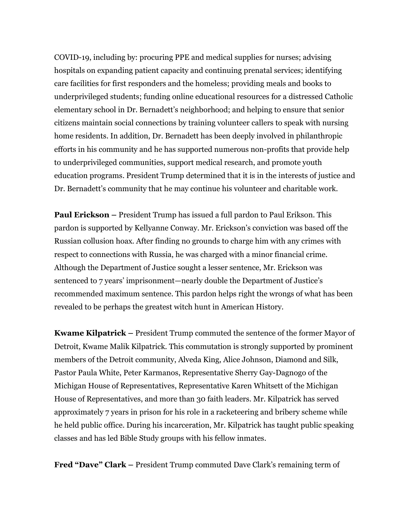COVID-19, including by: procuring PPE and medical supplies for nurses; advising hospitals on expanding patient capacity and continuing prenatal services; identifying care facilities for first responders and the homeless; providing meals and books to underprivileged students; funding online educational resources for a distressed Catholic elementary school in Dr. Bernadett's neighborhood; and helping to ensure that senior citizens maintain social connections by training volunteer callers to speak with nursing home residents. In addition, Dr. Bernadett has been deeply involved in philanthropic efforts in his community and he has supported numerous non-profits that provide help to underprivileged communities, support medical research, and promote youth education programs. President Trump determined that it is in the interests of justice and Dr. Bernadett's community that he may continue his volunteer and charitable work.

**Paul Erickson –** President Trump has issued a full pardon to Paul Erikson. This pardon is supported by Kellyanne Conway. Mr. Erickson's conviction was based off the Russian collusion hoax. After finding no grounds to charge him with any crimes with respect to connections with Russia, he was charged with a minor financial crime. Although the Department of Justice sought a lesser sentence, Mr. Erickson was sentenced to 7 years' imprisonment—nearly double the Department of Justice's recommended maximum sentence. This pardon helps right the wrongs of what has been revealed to be perhaps the greatest witch hunt in American History.

**Kwame Kilpatrick –** President Trump commuted the sentence of the former Mayor of Detroit, Kwame Malik Kilpatrick. This commutation is strongly supported by prominent members of the Detroit community, Alveda King, Alice Johnson, Diamond and Silk, Pastor Paula White, Peter Karmanos, Representative Sherry Gay-Dagnogo of the Michigan House of Representatives, Representative Karen Whitsett of the Michigan House of Representatives, and more than 30 faith leaders. Mr. Kilpatrick has served approximately 7 years in prison for his role in a racketeering and bribery scheme while he held public office. During his incarceration, Mr. Kilpatrick has taught public speaking classes and has led Bible Study groups with his fellow inmates.

**Fred "Dave" Clark –** President Trump commuted Dave Clark's remaining term of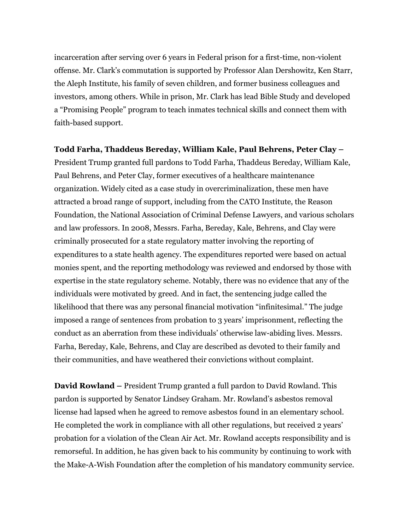incarceration after serving over 6 years in Federal prison for a first-time, non-violent offense. Mr. Clark's commutation is supported by Professor Alan Dershowitz, Ken Starr, the Aleph Institute, his family of seven children, and former business colleagues and investors, among others. While in prison, Mr. Clark has lead Bible Study and developed a "Promising People" program to teach inmates technical skills and connect them with faith-based support.

## **Todd Farha, Thaddeus Bereday, William Kale, Paul Behrens, Peter Clay –**

President Trump granted full pardons to Todd Farha, Thaddeus Bereday, William Kale, Paul Behrens, and Peter Clay, former executives of a healthcare maintenance organization. Widely cited as a case study in overcriminalization, these men have attracted a broad range of support, including from the CATO Institute, the Reason Foundation, the National Association of Criminal Defense Lawyers, and various scholars and law professors. In 2008, Messrs. Farha, Bereday, Kale, Behrens, and Clay were criminally prosecuted for a state regulatory matter involving the reporting of expenditures to a state health agency. The expenditures reported were based on actual monies spent, and the reporting methodology was reviewed and endorsed by those with expertise in the state regulatory scheme. Notably, there was no evidence that any of the individuals were motivated by greed. And in fact, the sentencing judge called the likelihood that there was any personal financial motivation "infinitesimal." The judge imposed a range of sentences from probation to 3 years' imprisonment, reflecting the conduct as an aberration from these individuals' otherwise law-abiding lives. Messrs. Farha, Bereday, Kale, Behrens, and Clay are described as devoted to their family and their communities, and have weathered their convictions without complaint.

**David Rowland –** President Trump granted a full pardon to David Rowland. This pardon is supported by Senator Lindsey Graham. Mr. Rowland's asbestos removal license had lapsed when he agreed to remove asbestos found in an elementary school. He completed the work in compliance with all other regulations, but received 2 years' probation for a violation of the Clean Air Act. Mr. Rowland accepts responsibility and is remorseful. In addition, he has given back to his community by continuing to work with the Make-A-Wish Foundation after the completion of his mandatory community service.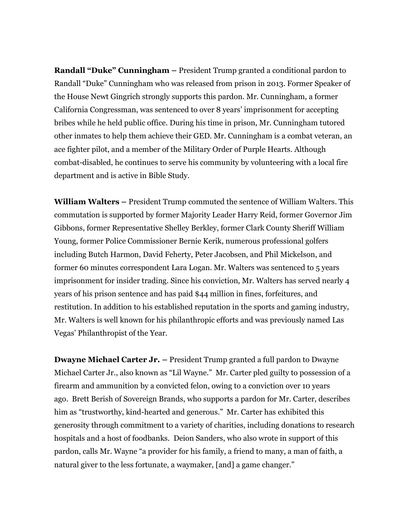**Randall "Duke" Cunningham –** President Trump granted a conditional pardon to Randall "Duke" Cunningham who was released from prison in 2013. Former Speaker of the House Newt Gingrich strongly supports this pardon. Mr. Cunningham, a former California Congressman, was sentenced to over 8 years' imprisonment for accepting bribes while he held public office. During his time in prison, Mr. Cunningham tutored other inmates to help them achieve their GED. Mr. Cunningham is a combat veteran, an ace fighter pilot, and a member of the Military Order of Purple Hearts. Although combat-disabled, he continues to serve his community by volunteering with a local fire department and is active in Bible Study.

**William Walters –** President Trump commuted the sentence of William Walters. This commutation is supported by former Majority Leader Harry Reid, former Governor Jim Gibbons, former Representative Shelley Berkley, former Clark County Sheriff William Young, former Police Commissioner Bernie Kerik, numerous professional golfers including Butch Harmon, David Feherty, Peter Jacobsen, and Phil Mickelson, and former 60 minutes correspondent Lara Logan. Mr. Walters was sentenced to 5 years imprisonment for insider trading. Since his conviction, Mr. Walters has served nearly 4 years of his prison sentence and has paid \$44 million in fines, forfeitures, and restitution. In addition to his established reputation in the sports and gaming industry, Mr. Walters is well known for his philanthropic efforts and was previously named Las Vegas' Philanthropist of the Year.

**Dwayne Michael Carter Jr. –** President Trump granted a full pardon to Dwayne Michael Carter Jr., also known as "Lil Wayne." Mr. Carter pled guilty to possession of a firearm and ammunition by a convicted felon, owing to a conviction over 10 years ago. Brett Berish of Sovereign Brands, who supports a pardon for Mr. Carter, describes him as "trustworthy, kind-hearted and generous." Mr. Carter has exhibited this generosity through commitment to a variety of charities, including donations to research hospitals and a host of foodbanks. Deion Sanders, who also wrote in support of this pardon, calls Mr. Wayne "a provider for his family, a friend to many, a man of faith, a natural giver to the less fortunate, a waymaker, [and] a game changer."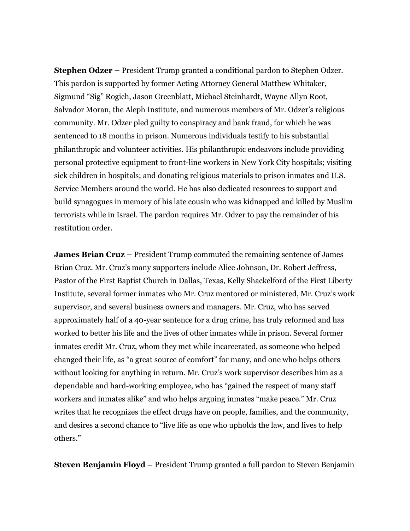**Stephen Odzer –** President Trump granted a conditional pardon to Stephen Odzer. This pardon is supported by former Acting Attorney General Matthew Whitaker, Sigmund "Sig" Rogich, Jason Greenblatt, Michael Steinhardt, Wayne Allyn Root, Salvador Moran, the Aleph Institute, and numerous members of Mr. Odzer's religious community. Mr. Odzer pled guilty to conspiracy and bank fraud, for which he was sentenced to 18 months in prison. Numerous individuals testify to his substantial philanthropic and volunteer activities. His philanthropic endeavors include providing personal protective equipment to front-line workers in New York City hospitals; visiting sick children in hospitals; and donating religious materials to prison inmates and U.S. Service Members around the world. He has also dedicated resources to support and build synagogues in memory of his late cousin who was kidnapped and killed by Muslim terrorists while in Israel. The pardon requires Mr. Odzer to pay the remainder of his restitution order.

**James Brian Cruz –** President Trump commuted the remaining sentence of James Brian Cruz. Mr. Cruz's many supporters include Alice Johnson, Dr. Robert Jeffress, Pastor of the First Baptist Church in Dallas, Texas, Kelly Shackelford of the First Liberty Institute, several former inmates who Mr. Cruz mentored or ministered, Mr. Cruz's work supervisor, and several business owners and managers. Mr. Cruz, who has served approximately half of a 40-year sentence for a drug crime, has truly reformed and has worked to better his life and the lives of other inmates while in prison. Several former inmates credit Mr. Cruz, whom they met while incarcerated, as someone who helped changed their life, as "a great source of comfort" for many, and one who helps others without looking for anything in return. Mr. Cruz's work supervisor describes him as a dependable and hard-working employee, who has "gained the respect of many staff workers and inmates alike" and who helps arguing inmates "make peace." Mr. Cruz writes that he recognizes the effect drugs have on people, families, and the community, and desires a second chance to "live life as one who upholds the law, and lives to help others."

**Steven Benjamin Floyd –** President Trump granted a full pardon to Steven Benjamin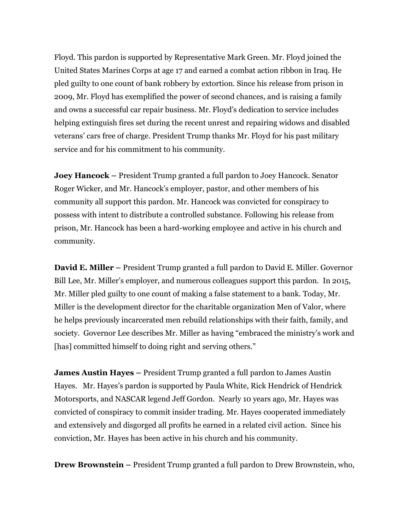Floyd. This pardon is supported by Representative Mark Green. Mr. Floyd joined the United States Marines Corps at age 17 and earned a combat action ribbon in Iraq. He pled guilty to one count of bank robbery by extortion. Since his release from prison in 2009, Mr. Floyd has exemplified the power of second chances, and is raising a family and owns a successful car repair business. Mr. Floyd's dedication to service includes helping extinguish fires set during the recent unrest and repairing widows and disabled veterans' cars free of charge. President Trump thanks Mr. Floyd for his past military service and for his commitment to his community.

**Joey Hancock –** President Trump granted a full pardon to Joey Hancock. Senator Roger Wicker, and Mr. Hancock's employer, pastor, and other members of his community all support this pardon. Mr. Hancock was convicted for conspiracy to possess with intent to distribute a controlled substance. Following his release from prison, Mr. Hancock has been a hard-working employee and active in his church and community.

**David E. Miller –** President Trump granted a full pardon to David E. Miller. Governor Bill Lee, Mr. Miller's employer, and numerous colleagues support this pardon. In 2015, Mr. Miller pled guilty to one count of making a false statement to a bank. Today, Mr. Miller is the development director for the charitable organization Men of Valor, where he helps previously incarcerated men rebuild relationships with their faith, family, and society. Governor Lee describes Mr. Miller as having "embraced the ministry's work and [has] committed himself to doing right and serving others."

**James Austin Hayes –** President Trump granted a full pardon to James Austin Hayes. Mr. Hayes's pardon is supported by Paula White, Rick Hendrick of Hendrick Motorsports, and NASCAR legend Jeff Gordon. Nearly 10 years ago, Mr. Hayes was convicted of conspiracy to commit insider trading. Mr. Hayes cooperated immediately and extensively and disgorged all profits he earned in a related civil action. Since his conviction, Mr. Hayes has been active in his church and his community.

**Drew Brownstein –** President Trump granted a full pardon to Drew Brownstein, who,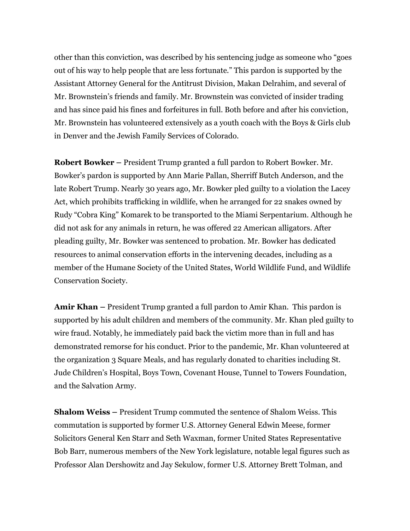other than this conviction, was described by his sentencing judge as someone who "goes out of his way to help people that are less fortunate." This pardon is supported by the Assistant Attorney General for the Antitrust Division, Makan Delrahim, and several of Mr. Brownstein's friends and family. Mr. Brownstein was convicted of insider trading and has since paid his fines and forfeitures in full. Both before and after his conviction, Mr. Brownstein has volunteered extensively as a youth coach with the Boys & Girls club in Denver and the Jewish Family Services of Colorado.

**Robert Bowker –** President Trump granted a full pardon to Robert Bowker. Mr. Bowker's pardon is supported by Ann Marie Pallan, Sherriff Butch Anderson, and the late Robert Trump. Nearly 30 years ago, Mr. Bowker pled guilty to a violation the Lacey Act, which prohibits trafficking in wildlife, when he arranged for 22 snakes owned by Rudy "Cobra King" Komarek to be transported to the Miami Serpentarium. Although he did not ask for any animals in return, he was offered 22 American alligators. After pleading guilty, Mr. Bowker was sentenced to probation. Mr. Bowker has dedicated resources to animal conservation efforts in the intervening decades, including as a member of the Humane Society of the United States, World Wildlife Fund, and Wildlife Conservation Society.

**Amir Khan –** President Trump granted a full pardon to Amir Khan. This pardon is supported by his adult children and members of the community. Mr. Khan pled guilty to wire fraud. Notably, he immediately paid back the victim more than in full and has demonstrated remorse for his conduct. Prior to the pandemic, Mr. Khan volunteered at the organization 3 Square Meals, and has regularly donated to charities including St. Jude Children's Hospital, Boys Town, Covenant House, Tunnel to Towers Foundation, and the Salvation Army.

**Shalom Weiss –** President Trump commuted the sentence of Shalom Weiss. This commutation is supported by former U.S. Attorney General Edwin Meese, former Solicitors General Ken Starr and Seth Waxman, former United States Representative Bob Barr, numerous members of the New York legislature, notable legal figures such as Professor Alan Dershowitz and Jay Sekulow, former U.S. Attorney Brett Tolman, and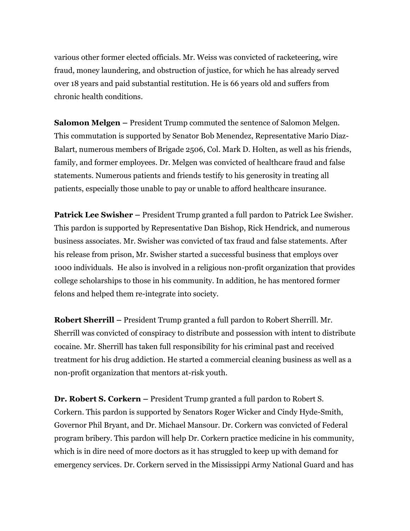various other former elected officials. Mr. Weiss was convicted of racketeering, wire fraud, money laundering, and obstruction of justice, for which he has already served over 18 years and paid substantial restitution. He is 66 years old and suffers from chronic health conditions.

**Salomon Melgen –** President Trump commuted the sentence of Salomon Melgen. This commutation is supported by Senator Bob Menendez, Representative Mario Diaz-Balart, numerous members of Brigade 2506, Col. Mark D. Holten, as well as his friends, family, and former employees. Dr. Melgen was convicted of healthcare fraud and false statements. Numerous patients and friends testify to his generosity in treating all patients, especially those unable to pay or unable to afford healthcare insurance.

**Patrick Lee Swisher –** President Trump granted a full pardon to Patrick Lee Swisher. This pardon is supported by Representative Dan Bishop, Rick Hendrick, and numerous business associates. Mr. Swisher was convicted of tax fraud and false statements. After his release from prison, Mr. Swisher started a successful business that employs over 1000 individuals. He also is involved in a religious non-profit organization that provides college scholarships to those in his community. In addition, he has mentored former felons and helped them re-integrate into society.

**Robert Sherrill –** President Trump granted a full pardon to Robert Sherrill. Mr. Sherrill was convicted of conspiracy to distribute and possession with intent to distribute cocaine. Mr. Sherrill has taken full responsibility for his criminal past and received treatment for his drug addiction. He started a commercial cleaning business as well as a non-profit organization that mentors at-risk youth.

**Dr. Robert S. Corkern –** President Trump granted a full pardon to Robert S. Corkern. This pardon is supported by Senators Roger Wicker and Cindy Hyde-Smith, Governor Phil Bryant, and Dr. Michael Mansour. Dr. Corkern was convicted of Federal program bribery. This pardon will help Dr. Corkern practice medicine in his community, which is in dire need of more doctors as it has struggled to keep up with demand for emergency services. Dr. Corkern served in the Mississippi Army National Guard and has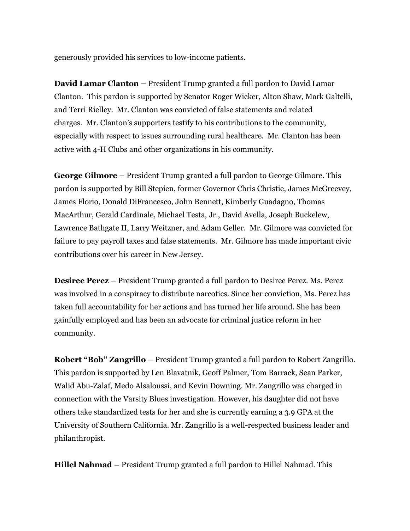generously provided his services to low-income patients.

**David Lamar Clanton –** President Trump granted a full pardon to David Lamar Clanton. This pardon is supported by Senator Roger Wicker, Alton Shaw, Mark Galtelli, and Terri Rielley. Mr. Clanton was convicted of false statements and related charges. Mr. Clanton's supporters testify to his contributions to the community, especially with respect to issues surrounding rural healthcare. Mr. Clanton has been active with 4-H Clubs and other organizations in his community.

**George Gilmore –** President Trump granted a full pardon to George Gilmore. This pardon is supported by Bill Stepien, former Governor Chris Christie, James McGreevey, James Florio, Donald DiFrancesco, John Bennett, Kimberly Guadagno, Thomas MacArthur, Gerald Cardinale, Michael Testa, Jr., David Avella, Joseph Buckelew, Lawrence Bathgate II, Larry Weitzner, and Adam Geller. Mr. Gilmore was convicted for failure to pay payroll taxes and false statements. Mr. Gilmore has made important civic contributions over his career in New Jersey.

**Desiree Perez –** President Trump granted a full pardon to Desiree Perez. Ms. Perez was involved in a conspiracy to distribute narcotics. Since her conviction, Ms. Perez has taken full accountability for her actions and has turned her life around. She has been gainfully employed and has been an advocate for criminal justice reform in her community.

**Robert "Bob" Zangrillo –** President Trump granted a full pardon to Robert Zangrillo. This pardon is supported by Len Blavatnik, Geoff Palmer, Tom Barrack, Sean Parker, Walid Abu-Zalaf, Medo Alsaloussi, and Kevin Downing. Mr. Zangrillo was charged in connection with the Varsity Blues investigation. However, his daughter did not have others take standardized tests for her and she is currently earning a 3.9 GPA at the University of Southern California. Mr. Zangrillo is a well-respected business leader and philanthropist.

**Hillel Nahmad –** President Trump granted a full pardon to Hillel Nahmad. This